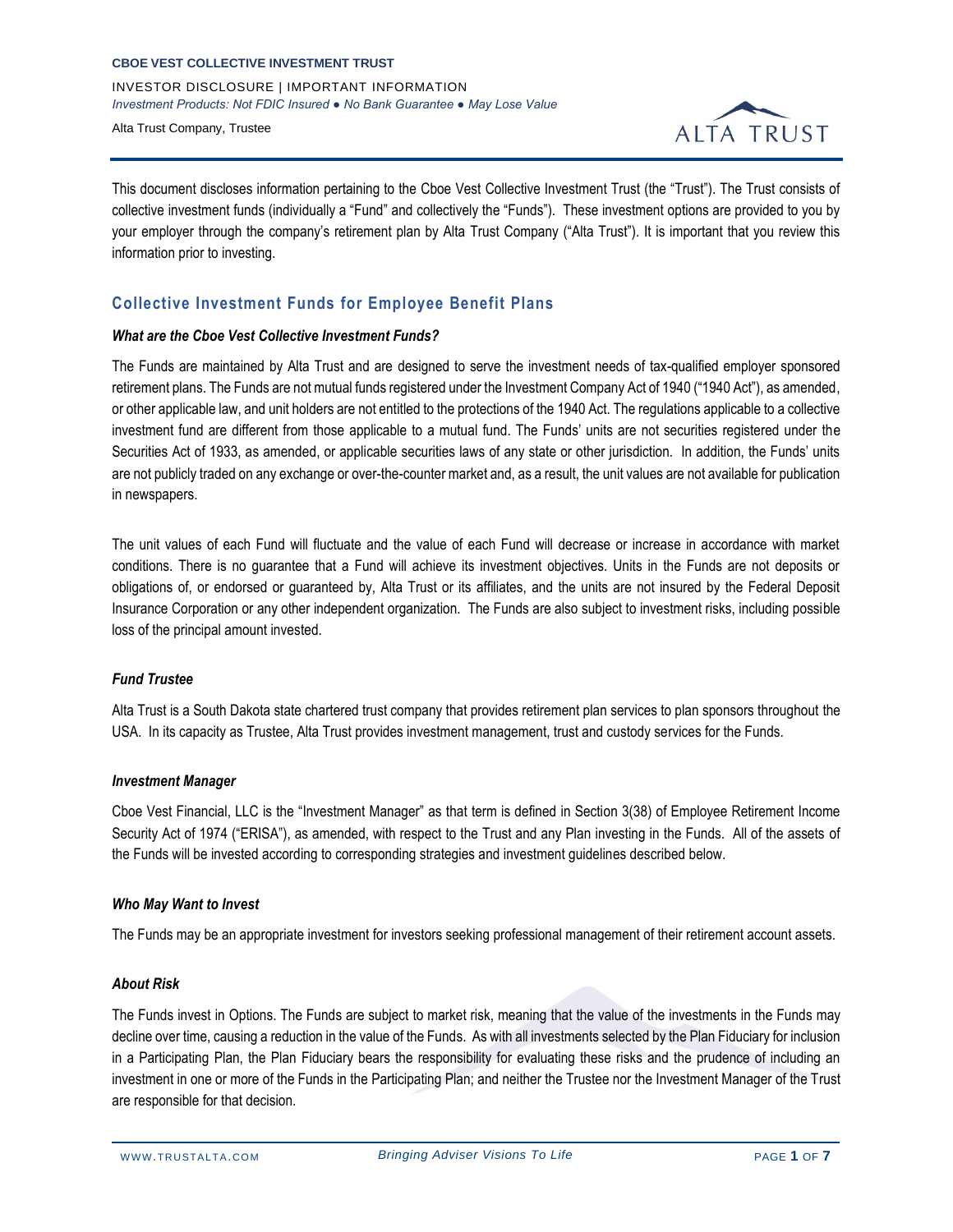INVESTOR DISCLOSURE | IMPORTANT INFORMATION *Investment Products: Not FDIC Insured ● No Bank Guarantee ● May Lose Value*

Alta Trust Company, Trustee



This document discloses information pertaining to the Cboe Vest Collective Investment Trust (the "Trust"). The Trust consists of collective investment funds (individually a "Fund" and collectively the "Funds"). These investment options are provided to you by your employer through the company's retirement plan by Alta Trust Company ("Alta Trust"). It is important that you review this information prior to investing.

## **Collective Investment Funds for Employee Benefit Plans**

### *What are the Cboe Vest Collective Investment Funds?*

The Funds are maintained by Alta Trust and are designed to serve the investment needs of tax-qualified employer sponsored retirement plans. The Funds are not mutual funds registered under the Investment Company Act of 1940 ("1940 Act"), as amended, or other applicable law, and unit holders are not entitled to the protections of the 1940 Act. The regulations applicable to a collective investment fund are different from those applicable to a mutual fund. The Funds' units are not securities registered under the Securities Act of 1933, as amended, or applicable securities laws of any state or other jurisdiction. In addition, the Funds' units are not publicly traded on any exchange or over-the-counter market and, as a result, the unit values are not available for publication in newspapers.

The unit values of each Fund will fluctuate and the value of each Fund will decrease or increase in accordance with market conditions. There is no guarantee that a Fund will achieve its investment objectives. Units in the Funds are not deposits or obligations of, or endorsed or guaranteed by, Alta Trust or its affiliates, and the units are not insured by the Federal Deposit Insurance Corporation or any other independent organization. The Funds are also subject to investment risks, including possible loss of the principal amount invested.

## *Fund Trustee*

Alta Trust is a South Dakota state chartered trust company that provides retirement plan services to plan sponsors throughout the USA. In its capacity as Trustee, Alta Trust provides investment management, trust and custody services for the Funds.

## *Investment Manager*

Cboe Vest Financial, LLC is the "Investment Manager" as that term is defined in Section 3(38) of Employee Retirement Income Security Act of 1974 ("ERISA"), as amended, with respect to the Trust and any Plan investing in the Funds. All of the assets of the Funds will be invested according to corresponding strategies and investment guidelines described below.

## *Who May Want to Invest*

The Funds may be an appropriate investment for investors seeking professional management of their retirement account assets.

#### *About Risk*

The Funds invest in Options. The Funds are subject to market risk, meaning that the value of the investments in the Funds may decline over time, causing a reduction in the value of the Funds. As with all investments selected by the Plan Fiduciary for inclusion in a Participating Plan, the Plan Fiduciary bears the responsibility for evaluating these risks and the prudence of including an investment in one or more of the Funds in the Participating Plan; and neither the Trustee nor the Investment Manager of the Trust are responsible for that decision.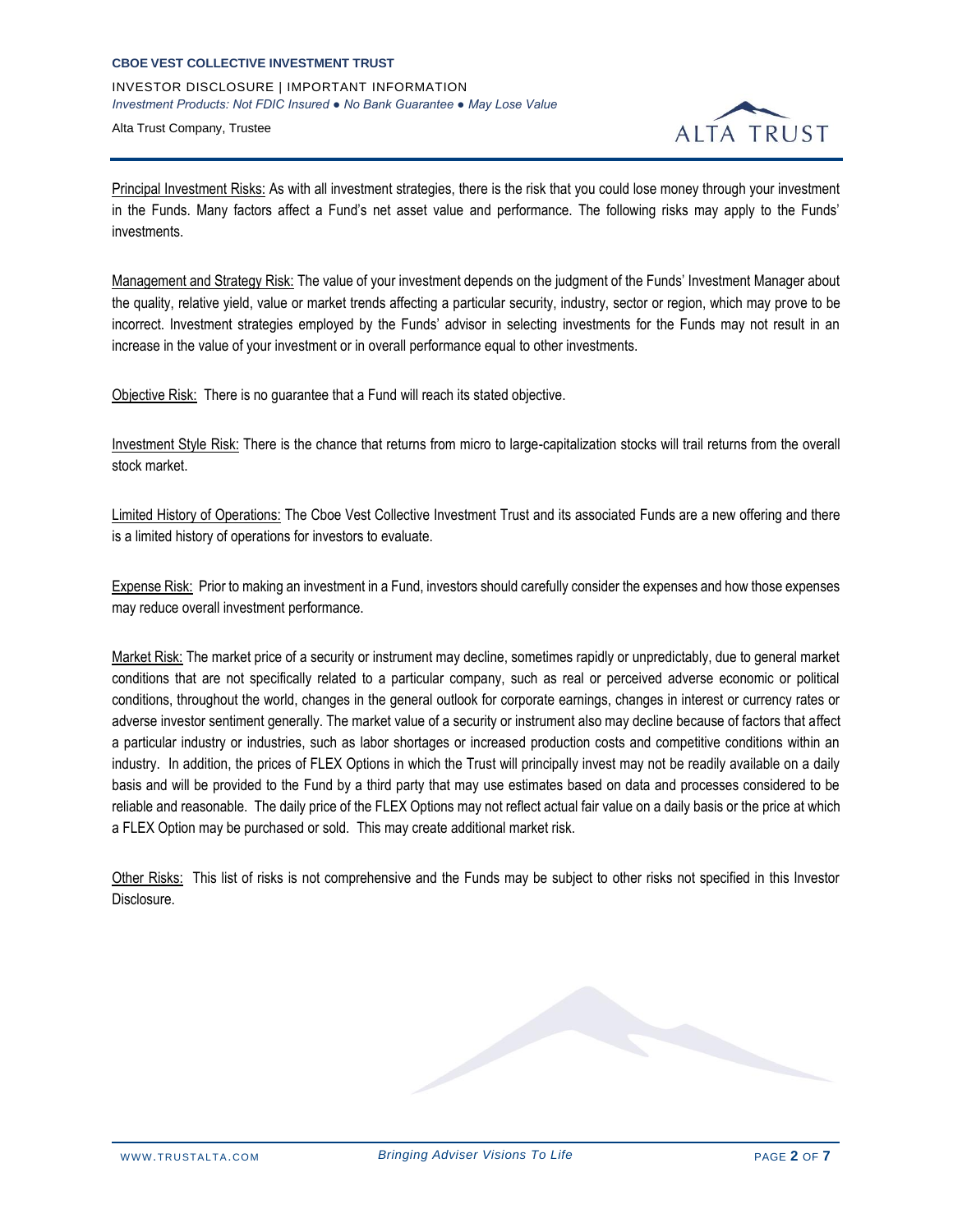# **CBOE VEST COLLECTIVE INVESTMENT TRUST** INVESTOR DISCLOSURE | IMPORTANT INFORMATION *Investment Products: Not FDIC Insured ● No Bank Guarantee ● May Lose Value*

Alta Trust Company, Trustee



Principal Investment Risks: As with all investment strategies, there is the risk that you could lose money through your investment in the Funds. Many factors affect a Fund's net asset value and performance. The following risks may apply to the Funds' investments.

Management and Strategy Risk: The value of your investment depends on the judgment of the Funds' Investment Manager about the quality, relative yield, value or market trends affecting a particular security, industry, sector or region, which may prove to be incorrect. Investment strategies employed by the Funds' advisor in selecting investments for the Funds may not result in an increase in the value of your investment or in overall performance equal to other investments.

Objective Risk: There is no guarantee that a Fund will reach its stated objective.

Investment Style Risk: There is the chance that returns from micro to large-capitalization stocks will trail returns from the overall stock market.

Limited History of Operations: The Cboe Vest Collective Investment Trust and its associated Funds are a new offering and there is a limited history of operations for investors to evaluate.

Expense Risk: Prior to making an investment in a Fund, investors should carefully consider the expenses and how those expenses may reduce overall investment performance.

Market Risk: The market price of a security or instrument may decline, sometimes rapidly or unpredictably, due to general market conditions that are not specifically related to a particular company, such as real or perceived adverse economic or political conditions, throughout the world, changes in the general outlook for corporate earnings, changes in interest or currency rates or adverse investor sentiment generally. The market value of a security or instrument also may decline because of factors that affect a particular industry or industries, such as labor shortages or increased production costs and competitive conditions within an industry. In addition, the prices of FLEX Options in which the Trust will principally invest may not be readily available on a daily basis and will be provided to the Fund by a third party that may use estimates based on data and processes considered to be reliable and reasonable. The daily price of the FLEX Options may not reflect actual fair value on a daily basis or the price at which a FLEX Option may be purchased or sold. This may create additional market risk.

Other Risks: This list of risks is not comprehensive and the Funds may be subject to other risks not specified in this Investor Disclosure.

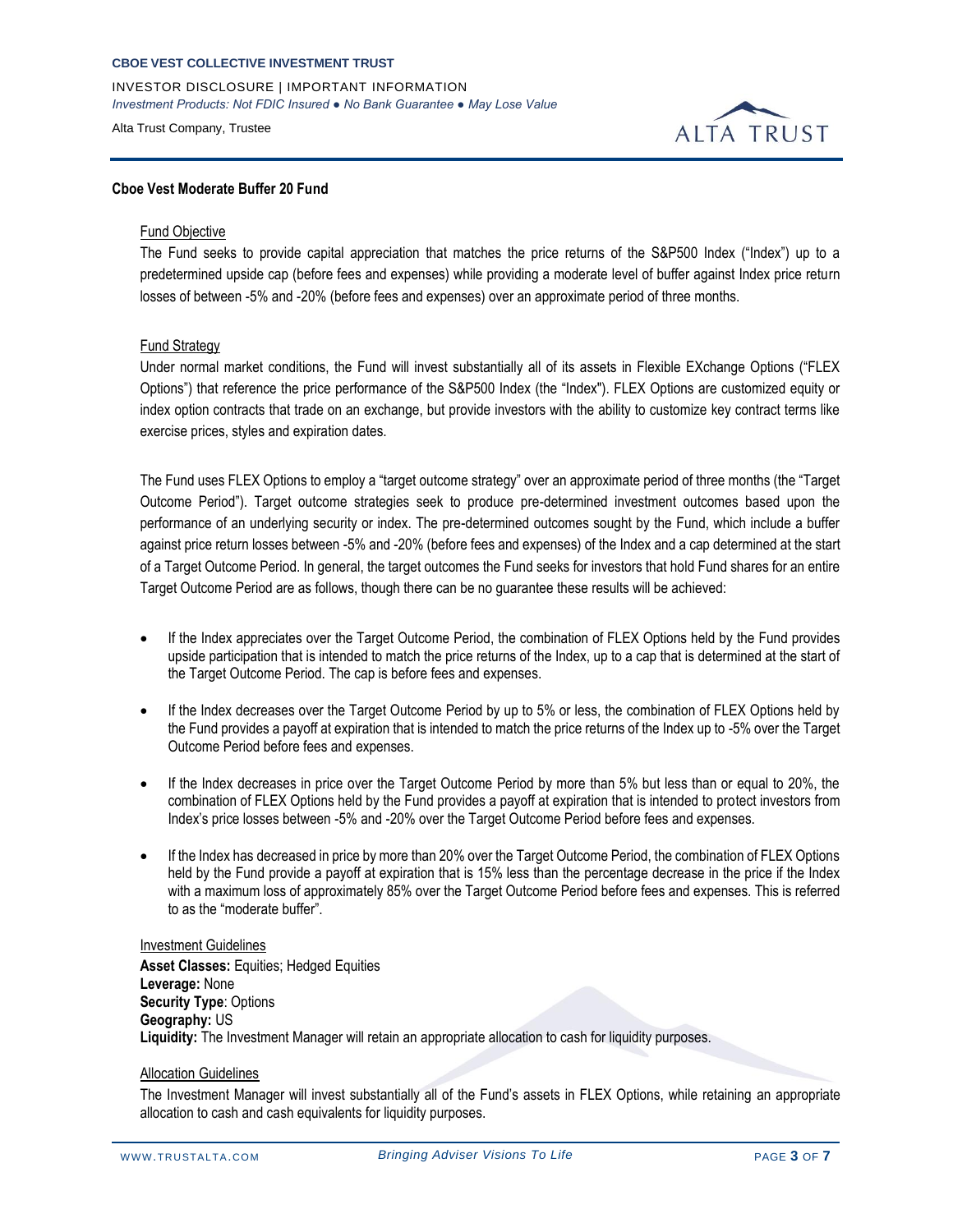INVESTOR DISCLOSURE | IMPORTANT INFORMATION *Investment Products: Not FDIC Insured ● No Bank Guarantee ● May Lose Value*

Alta Trust Company, Trustee



### **Cboe Vest Moderate Buffer 20 Fund**

#### Fund Objective

The Fund seeks to provide capital appreciation that matches the price returns of the S&P500 Index ("Index") up to a predetermined upside cap (before fees and expenses) while providing a moderate level of buffer against Index price return losses of between -5% and -20% (before fees and expenses) over an approximate period of three months.

### Fund Strategy

Under normal market conditions, the Fund will invest substantially all of its assets in Flexible EXchange Options ("FLEX Options") that reference the price performance of the S&P500 Index (the "Index"). FLEX Options are customized equity or index option contracts that trade on an exchange, but provide investors with the ability to customize key contract terms like exercise prices, styles and expiration dates.

The Fund uses FLEX Options to employ a "target outcome strategy" over an approximate period of three months (the "Target Outcome Period"). Target outcome strategies seek to produce pre-determined investment outcomes based upon the performance of an underlying security or index. The pre-determined outcomes sought by the Fund, which include a buffer against price return losses between -5% and -20% (before fees and expenses) of the Index and a cap determined at the start of a Target Outcome Period. In general, the target outcomes the Fund seeks for investors that hold Fund shares for an entire Target Outcome Period are as follows, though there can be no guarantee these results will be achieved:

- If the Index appreciates over the Target Outcome Period, the combination of FLEX Options held by the Fund provides upside participation that is intended to match the price returns of the Index, up to a cap that is determined at the start of the Target Outcome Period. The cap is before fees and expenses.
- If the Index decreases over the Target Outcome Period by up to 5% or less, the combination of FLEX Options held by the Fund provides a payoff at expiration that is intended to match the price returns of the Index up to -5% over the Target Outcome Period before fees and expenses.
- If the Index decreases in price over the Target Outcome Period by more than 5% but less than or equal to 20%, the combination of FLEX Options held by the Fund provides a payoff at expiration that is intended to protect investors from Index's price losses between -5% and -20% over the Target Outcome Period before fees and expenses.
- If the Index has decreased in price by more than 20% over the Target Outcome Period, the combination of FLEX Options held by the Fund provide a payoff at expiration that is 15% less than the percentage decrease in the price if the Index with a maximum loss of approximately 85% over the Target Outcome Period before fees and expenses. This is referred to as the "moderate buffer".

## Investment Guidelines

**Asset Classes:** Equities; Hedged Equities **Leverage:** None **Security Type**: Options **Geography:** US **Liquidity:** The Investment Manager will retain an appropriate allocation to cash for liquidity purposes.

#### Allocation Guidelines

The Investment Manager will invest substantially all of the Fund's assets in FLEX Options, while retaining an appropriate allocation to cash and cash equivalents for liquidity purposes.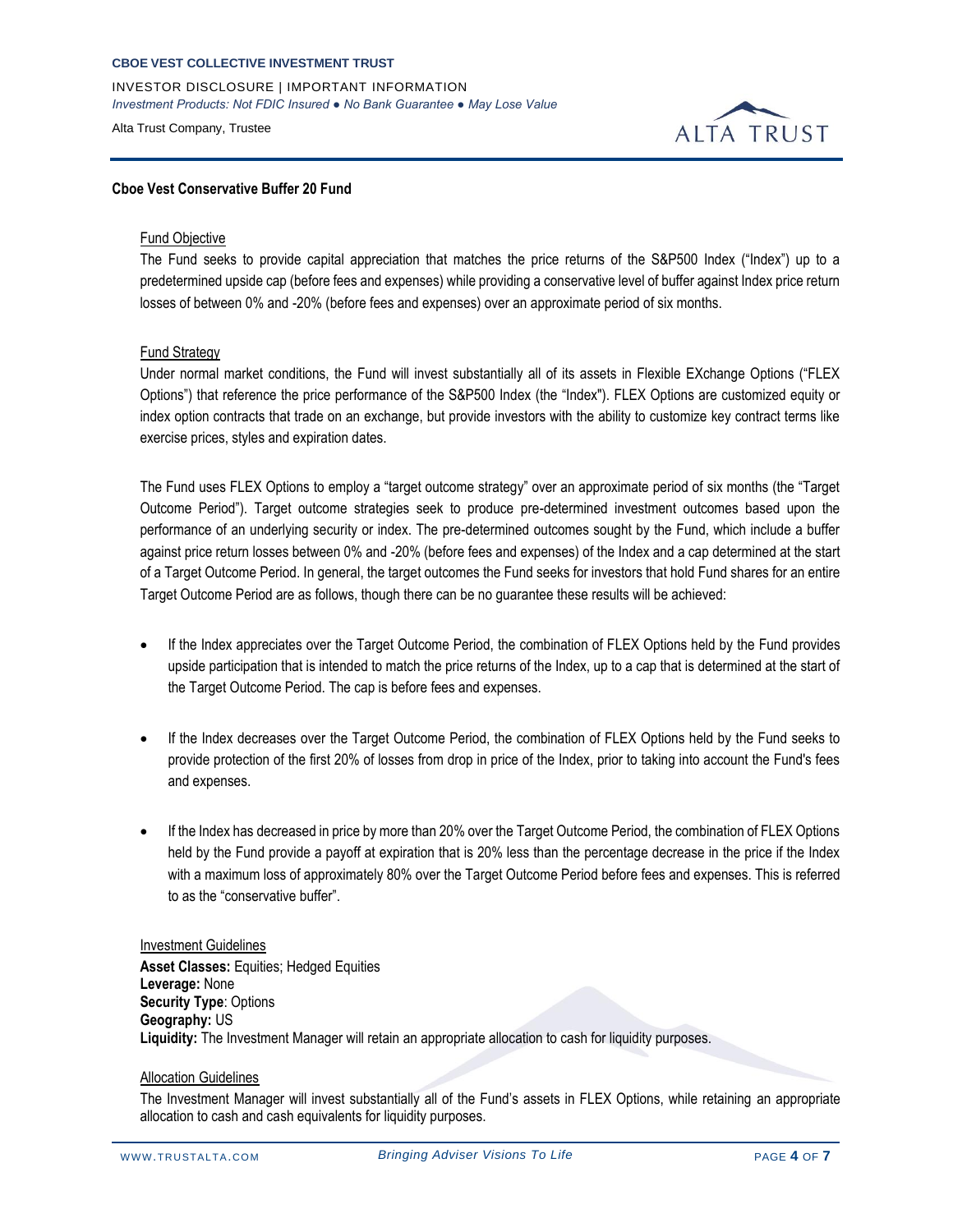INVESTOR DISCLOSURE | IMPORTANT INFORMATION *Investment Products: Not FDIC Insured ● No Bank Guarantee ● May Lose Value*

Alta Trust Company, Trustee



### **Cboe Vest Conservative Buffer 20 Fund**

#### Fund Objective

The Fund seeks to provide capital appreciation that matches the price returns of the S&P500 Index ("Index") up to a predetermined upside cap (before fees and expenses) while providing a conservative level of buffer against Index price return losses of between 0% and -20% (before fees and expenses) over an approximate period of six months.

#### Fund Strategy

Under normal market conditions, the Fund will invest substantially all of its assets in Flexible EXchange Options ("FLEX Options") that reference the price performance of the S&P500 Index (the "Index"). FLEX Options are customized equity or index option contracts that trade on an exchange, but provide investors with the ability to customize key contract terms like exercise prices, styles and expiration dates.

The Fund uses FLEX Options to employ a "target outcome strategy" over an approximate period of six months (the "Target Outcome Period"). Target outcome strategies seek to produce pre-determined investment outcomes based upon the performance of an underlying security or index. The pre-determined outcomes sought by the Fund, which include a buffer against price return losses between 0% and -20% (before fees and expenses) of the Index and a cap determined at the start of a Target Outcome Period. In general, the target outcomes the Fund seeks for investors that hold Fund shares for an entire Target Outcome Period are as follows, though there can be no guarantee these results will be achieved:

- If the Index appreciates over the Target Outcome Period, the combination of FLEX Options held by the Fund provides upside participation that is intended to match the price returns of the Index, up to a cap that is determined at the start of the Target Outcome Period. The cap is before fees and expenses.
- If the Index decreases over the Target Outcome Period, the combination of FLEX Options held by the Fund seeks to provide protection of the first 20% of losses from drop in price of the Index, prior to taking into account the Fund's fees and expenses.
- If the Index has decreased in price by more than 20% over the Target Outcome Period, the combination of FLEX Options held by the Fund provide a payoff at expiration that is 20% less than the percentage decrease in the price if the Index with a maximum loss of approximately 80% over the Target Outcome Period before fees and expenses. This is referred to as the "conservative buffer".

#### Investment Guidelines

**Asset Classes:** Equities; Hedged Equities **Leverage:** None **Security Type**: Options **Geography:** US **Liquidity:** The Investment Manager will retain an appropriate allocation to cash for liquidity purposes.

#### Allocation Guidelines

The Investment Manager will invest substantially all of the Fund's assets in FLEX Options, while retaining an appropriate allocation to cash and cash equivalents for liquidity purposes.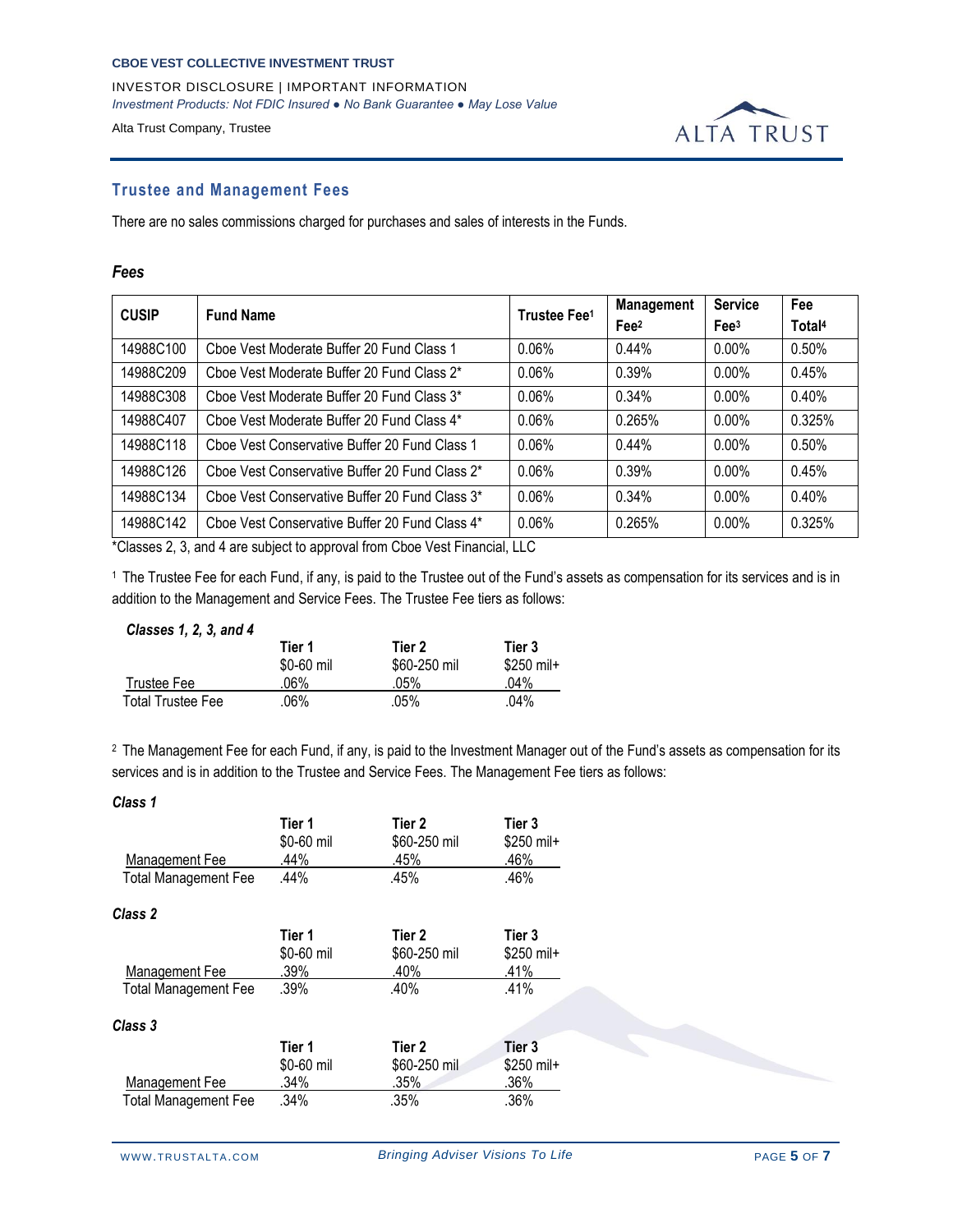INVESTOR DISCLOSURE | IMPORTANT INFORMATION *Investment Products: Not FDIC Insured ● No Bank Guarantee ● May Lose Value*

Alta Trust Company, Trustee



## **Trustee and Management Fees**

There are no sales commissions charged for purchases and sales of interests in the Funds.

### *Fees*

| <b>CUSIP</b> | <b>Fund Name</b>                               | Trustee Fee <sup>1</sup> | <b>Management</b> | <b>Service</b>   | Fee                |
|--------------|------------------------------------------------|--------------------------|-------------------|------------------|--------------------|
|              |                                                |                          | Fee <sup>2</sup>  | Fee <sup>3</sup> | Total <sup>4</sup> |
| 14988C100    | Choe Vest Moderate Buffer 20 Fund Class 1      | 0.06%                    | 0.44%             | $0.00\%$         | 0.50%              |
| 14988C209    | Choe Vest Moderate Buffer 20 Fund Class 2*     | 0.06%                    | 0.39%             | $0.00\%$         | 0.45%              |
| 14988C308    | Choe Vest Moderate Buffer 20 Fund Class 3*     | 0.06%                    | 0.34%             | $0.00\%$         | 0.40%              |
| 14988C407    | Choe Vest Moderate Buffer 20 Fund Class 4*     | 0.06%                    | 0.265%            | $0.00\%$         | 0.325%             |
| 14988C118    | Choe Vest Conservative Buffer 20 Fund Class 1  | 0.06%                    | 0.44%             | $0.00\%$         | 0.50%              |
| 14988C126    | Choe Vest Conservative Buffer 20 Fund Class 2* | 0.06%                    | 0.39%             | $0.00\%$         | 0.45%              |
| 14988C134    | Choe Vest Conservative Buffer 20 Fund Class 3* | 0.06%                    | 0.34%             | $0.00\%$         | 0.40%              |
| 14988C142    | Choe Vest Conservative Buffer 20 Fund Class 4* | 0.06%                    | 0.265%            | $0.00\%$         | 0.325%             |

\*Classes 2, 3, and 4 are subject to approval from Cboe Vest Financial, LLC

<sup>1</sup>The Trustee Fee for each Fund, if any, is paid to the Trustee out of the Fund's assets as compensation for its services and is in addition to the Management and Service Fees. The Trustee Fee tiers as follows:

## *Classes 1, 2, 3, and 4*

|                   | Tier 1<br>\$0-60 mil | Tier 2<br>\$60-250 mil | Tier 3<br>\$250 mil+ |
|-------------------|----------------------|------------------------|----------------------|
| Trustee Fee       | .06%                 | $.05\%$                | 04%                  |
| Total Trustee Fee | .06%                 | .05%                   | .04%                 |

<sup>2</sup> The Management Fee for each Fund, if any, is paid to the Investment Manager out of the Fund's assets as compensation for its services and is in addition to the Trustee and Service Fees. The Management Fee tiers as follows:

| Class 1                     |                              |                                |                               |  |
|-----------------------------|------------------------------|--------------------------------|-------------------------------|--|
| Management Fee              | Tier 1<br>\$0-60 mil<br>.44% | Tier 2<br>\$60-250 mil<br>.45% | Tier 3<br>$$250$ mil+<br>.46% |  |
| <b>Total Management Fee</b> | .44%                         | .45%                           | .46%                          |  |
| Class 2                     |                              |                                |                               |  |
|                             | Tier 1<br>\$0-60 mil         | Tier 2<br>\$60-250 mil         | Tier 3<br>$$250$ mil+         |  |
| Management Fee              | .39%                         | .40%                           | .41%                          |  |
| <b>Total Management Fee</b> | .39%                         | .40%                           | .41%                          |  |
| Class 3                     |                              |                                |                               |  |
|                             | Tier 1                       | Tier 2                         | Tier 3                        |  |
|                             | \$0-60 mil                   | \$60-250 mil                   | \$250 mil+                    |  |
| <b>Management Fee</b>       | .34%                         | .35%                           | .36%                          |  |
| <b>Total Management Fee</b> | .34%                         | .35%                           | .36%                          |  |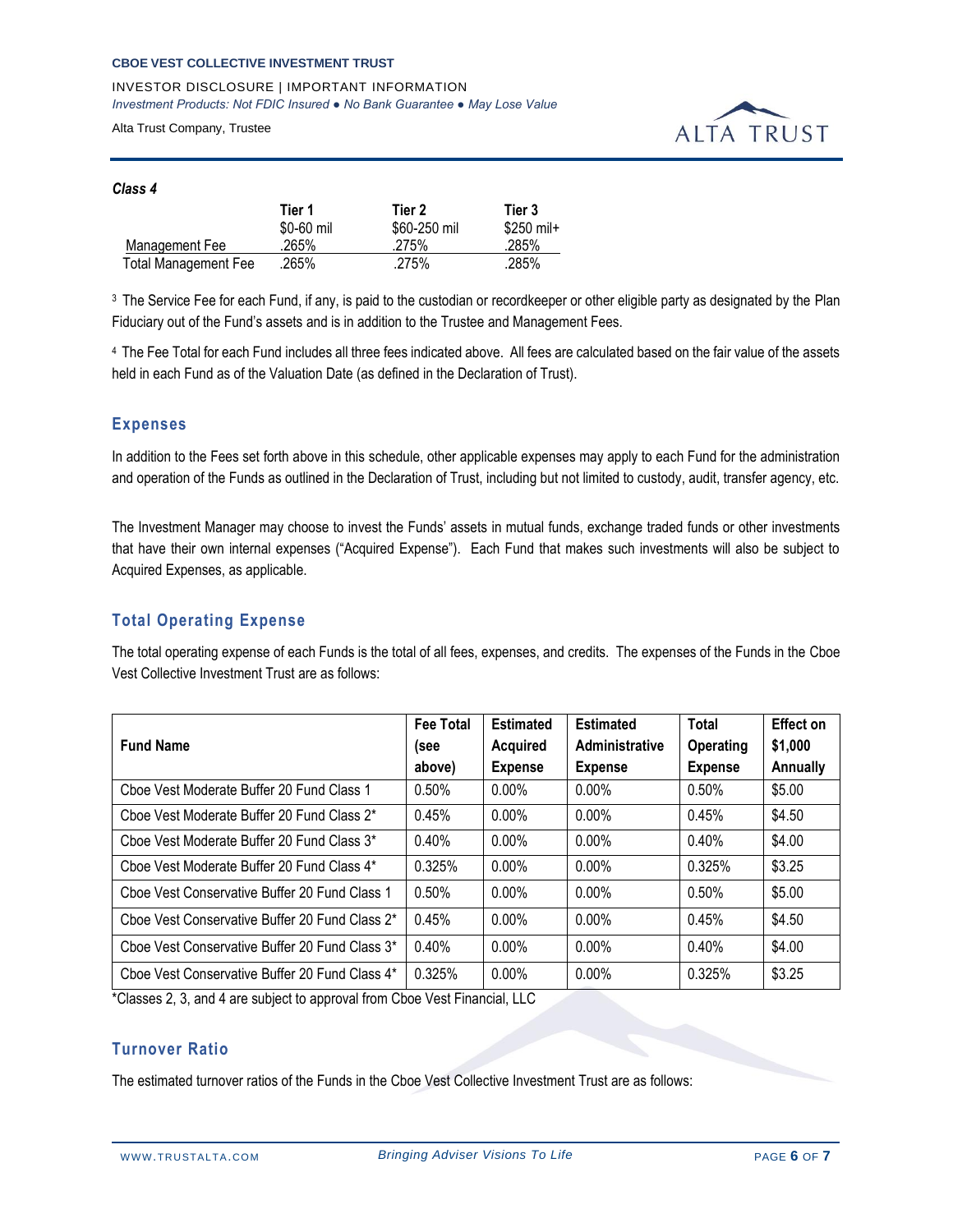INVESTOR DISCLOSURE | IMPORTANT INFORMATION *Investment Products: Not FDIC Insured ● No Bank Guarantee ● May Lose Value*

Alta Trust Company, Trustee



## *Class 4*

|                             | Tier 1     | Tier 2       | Tier 3     |
|-----------------------------|------------|--------------|------------|
|                             | \$0-60 mil | \$60-250 mil | \$250 mil+ |
| Management Fee              | .265%      | .275%        | .285%      |
| <b>Total Management Fee</b> | .265%      | .275%        | .285%      |

<sup>3</sup> The Service Fee for each Fund, if any, is paid to the custodian or recordkeeper or other eligible party as designated by the Plan Fiduciary out of the Fund's assets and is in addition to the Trustee and Management Fees.

<sup>4</sup>The Fee Total for each Fund includes all three fees indicated above. All fees are calculated based on the fair value of the assets held in each Fund as of the Valuation Date (as defined in the Declaration of Trust).

## **Expenses**

In addition to the Fees set forth above in this schedule, other applicable expenses may apply to each Fund for the administration and operation of the Funds as outlined in the Declaration of Trust, including but not limited to custody, audit, transfer agency, etc.

The Investment Manager may choose to invest the Funds' assets in mutual funds, exchange traded funds or other investments that have their own internal expenses ("Acquired Expense"). Each Fund that makes such investments will also be subject to Acquired Expenses, as applicable.

## **Total Operating Expense**

The total operating expense of each Funds is the total of all fees, expenses, and credits. The expenses of the Funds in the Cboe Vest Collective Investment Trust are as follows:

|                                                | <b>Fee Total</b> | <b>Estimated</b> | <b>Estimated</b> | Total            | <b>Effect on</b> |
|------------------------------------------------|------------------|------------------|------------------|------------------|------------------|
| <b>Fund Name</b>                               | (see             | <b>Acquired</b>  | Administrative   | <b>Operating</b> | \$1,000          |
|                                                | above)           | <b>Expense</b>   | <b>Expense</b>   | <b>Expense</b>   | Annually         |
| Choe Vest Moderate Buffer 20 Fund Class 1      | $0.50\%$         | $0.00\%$         | $0.00\%$         | 0.50%            | \$5.00           |
| Choe Vest Moderate Buffer 20 Fund Class 2*     | 0.45%            | $0.00\%$         | $0.00\%$         | 0.45%            | \$4.50           |
| Choe Vest Moderate Buffer 20 Fund Class 3*     | 0.40%            | $0.00\%$         | $0.00\%$         | 0.40%            | \$4.00           |
| Choe Vest Moderate Buffer 20 Fund Class 4*     | 0.325%           | $0.00\%$         | $0.00\%$         | 0.325%           | \$3.25           |
| Choe Vest Conservative Buffer 20 Fund Class 1  | 0.50%            | $0.00\%$         | $0.00\%$         | 0.50%            | \$5.00           |
| Choe Vest Conservative Buffer 20 Fund Class 2* | 0.45%            | $0.00\%$         | $0.00\%$         | 0.45%            | \$4.50           |
| Choe Vest Conservative Buffer 20 Fund Class 3* | 0.40%            | $0.00\%$         | $0.00\%$         | 0.40%            | \$4.00           |
| Cboe Vest Conservative Buffer 20 Fund Class 4* | 0.325%           | $0.00\%$         | $0.00\%$         | 0.325%           | \$3.25           |

\*Classes 2, 3, and 4 are subject to approval from Cboe Vest Financial, LLC

## **Turnover Ratio**

The estimated turnover ratios of the Funds in the Cboe Vest Collective Investment Trust are as follows: